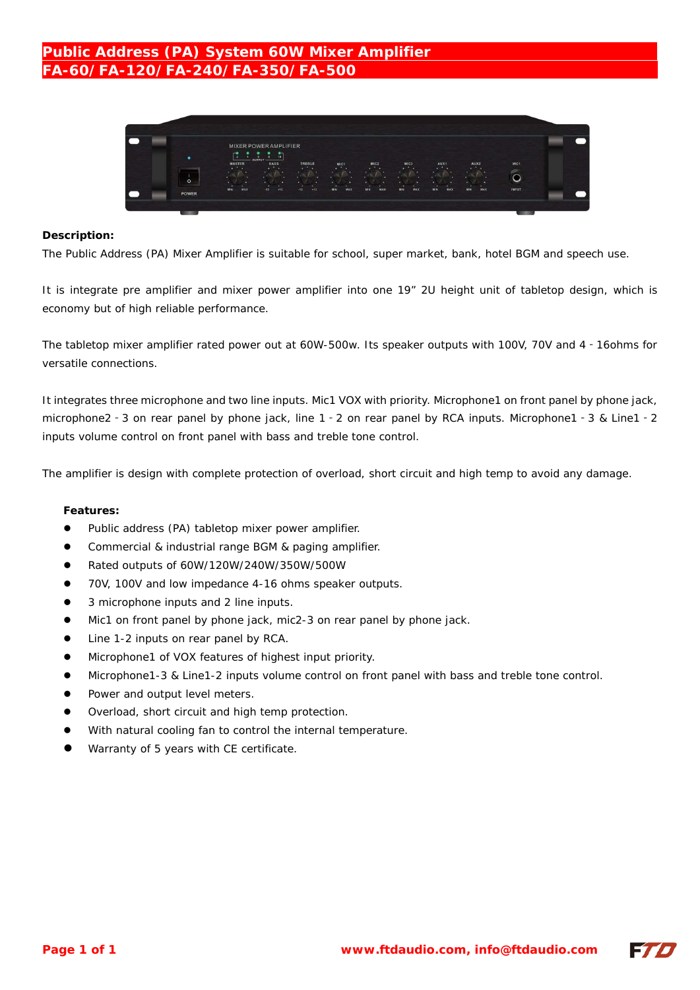## **Public Address (PA) System 60W Mixer Amplifier FA-60/FA-120/FA-240/FA-350/FA-500**



#### **Description:**

The Public Address (PA) Mixer Amplifier is suitable for school, super market, bank, hotel BGM and speech use.

It is integrate pre amplifier and mixer power amplifier into one 19" 2U height unit of tabletop design, which is economy but of high reliable performance.

The tabletop mixer amplifier rated power out at 60W-500w. Its speaker outputs with 100V, 70V and 4‐16ohms for versatile connections.

It integrates three microphone and two line inputs. Mic1 VOX with priority. Microphone1 on front panel by phone jack, microphone2‐3 on rear panel by phone jack, line 1‐2 on rear panel by RCA inputs. Microphone1‐3 & Line1‐2 inputs volume control on front panel with bass and treble tone control.

The amplifier is design with complete protection of overload, short circuit and high temp to avoid any damage.

#### **Features:**

- Public address (PA) tabletop mixer power amplifier.
- Commercial & industrial range BGM & paging amplifier.
- Rated outputs of 60W/120W/240W/350W/500W
- 70V, 100V and low impedance 4-16 ohms speaker outputs.
- 3 microphone inputs and 2 line inputs.
- $\bullet$  Mic1 on front panel by phone jack, mic2-3 on rear panel by phone jack.
- Line 1-2 inputs on rear panel by RCA.
- Microphone1 of VOX features of highest input priority.
- Microphone1-3 & Line1-2 inputs volume control on front panel with bass and treble tone control.
- Power and output level meters.
- Overload, short circuit and high temp protection.
- With natural cooling fan to control the internal temperature.
- Warranty of 5 years with CE certificate.